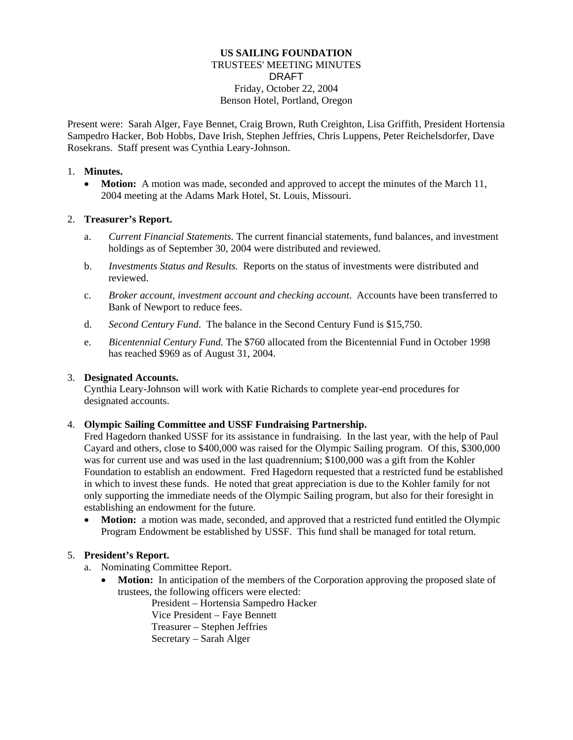# **US SAILING FOUNDATION**  TRUSTEES' MEETING MINUTES DRAFT Friday, October 22, 2004 Benson Hotel, Portland, Oregon

Present were: Sarah Alger, Faye Bennet, Craig Brown, Ruth Creighton, Lisa Griffith, President Hortensia Sampedro Hacker, Bob Hobbs, Dave Irish, Stephen Jeffries, Chris Luppens, Peter Reichelsdorfer, Dave Rosekrans. Staff present was Cynthia Leary-Johnson.

#### 1. **Minutes.**

• **Motion:** A motion was made, seconded and approved to accept the minutes of the March 11, 2004 meeting at the Adams Mark Hotel, St. Louis, Missouri.

#### 2. **Treasurer's Report.**

- a. *Current Financial Statements.* The current financial statements, fund balances, and investment holdings as of September 30, 2004 were distributed and reviewed.
- b. *Investments Status and Results.* Reports on the status of investments were distributed and reviewed.
- c. *Broker account, investment account and checking account*. Accounts have been transferred to Bank of Newport to reduce fees.
- d. *Second Century Fund*. The balance in the Second Century Fund is \$15,750.
- e. *Bicentennial Century Fund.* The \$760 allocated from the Bicentennial Fund in October 1998 has reached \$969 as of August 31, 2004.

# 3. **Designated Accounts.**

Cynthia Leary-Johnson will work with Katie Richards to complete year-end procedures for designated accounts.

# 4. **Olympic Sailing Committee and USSF Fundraising Partnership.**

Fred Hagedorn thanked USSF for its assistance in fundraising. In the last year, with the help of Paul Cayard and others, close to \$400,000 was raised for the Olympic Sailing program. Of this, \$300,000 was for current use and was used in the last quadrennium; \$100,000 was a gift from the Kohler Foundation to establish an endowment. Fred Hagedorn requested that a restricted fund be established in which to invest these funds. He noted that great appreciation is due to the Kohler family for not only supporting the immediate needs of the Olympic Sailing program, but also for their foresight in establishing an endowment for the future.

• **Motion:** a motion was made, seconded, and approved that a restricted fund entitled the Olympic Program Endowment be established by USSF. This fund shall be managed for total return.

# 5. **President's Report.**

- a. Nominating Committee Report.
	- **Motion:** In anticipation of the members of the Corporation approving the proposed slate of trustees, the following officers were elected:

President – Hortensia Sampedro Hacker Vice President – Faye Bennett Treasurer – Stephen Jeffries Secretary – Sarah Alger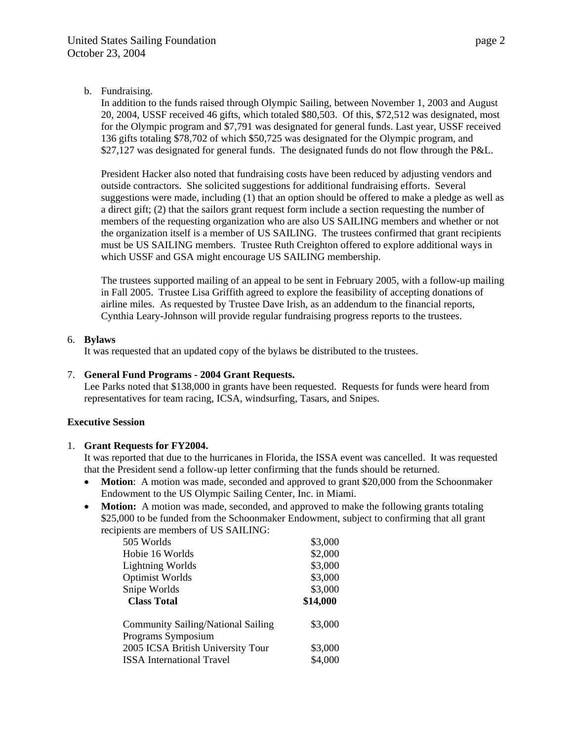b. Fundraising.

In addition to the funds raised through Olympic Sailing, between November 1, 2003 and August 20, 2004, USSF received 46 gifts, which totaled \$80,503. Of this, \$72,512 was designated, most for the Olympic program and \$7,791 was designated for general funds. Last year, USSF received 136 gifts totaling \$78,702 of which \$50,725 was designated for the Olympic program, and \$27,127 was designated for general funds. The designated funds do not flow through the P&L.

President Hacker also noted that fundraising costs have been reduced by adjusting vendors and outside contractors. She solicited suggestions for additional fundraising efforts. Several suggestions were made, including (1) that an option should be offered to make a pledge as well as a direct gift; (2) that the sailors grant request form include a section requesting the number of members of the requesting organization who are also US SAILING members and whether or not the organization itself is a member of US SAILING. The trustees confirmed that grant recipients must be US SAILING members. Trustee Ruth Creighton offered to explore additional ways in which USSF and GSA might encourage US SAILING membership.

The trustees supported mailing of an appeal to be sent in February 2005, with a follow-up mailing in Fall 2005. Trustee Lisa Griffith agreed to explore the feasibility of accepting donations of airline miles. As requested by Trustee Dave Irish, as an addendum to the financial reports, Cynthia Leary-Johnson will provide regular fundraising progress reports to the trustees.

# 6. **Bylaws**

It was requested that an updated copy of the bylaws be distributed to the trustees.

#### 7. **General Fund Programs - 2004 Grant Requests.**

Lee Parks noted that \$138,000 in grants have been requested. Requests for funds were heard from representatives for team racing, ICSA, windsurfing, Tasars, and Snipes.

# **Executive Session**

#### 1. **Grant Requests for FY2004.**

It was reported that due to the hurricanes in Florida, the ISSA event was cancelled. It was requested that the President send a follow-up letter confirming that the funds should be returned.

- **Motion**: A motion was made, seconded and approved to grant \$20,000 from the Schoonmaker Endowment to the US Olympic Sailing Center, Inc. in Miami.
- **Motion:** A motion was made, seconded, and approved to make the following grants totaling \$25,000 to be funded from the Schoonmaker Endowment, subject to confirming that all grant recipients are members of US SAILING:

| 505 Worlds                                | \$3,000  |
|-------------------------------------------|----------|
| Hobie 16 Worlds                           | \$2,000  |
| <b>Lightning Worlds</b>                   | \$3,000  |
| <b>Optimist Worlds</b>                    | \$3,000  |
| Snipe Worlds                              | \$3,000  |
| <b>Class Total</b>                        | \$14,000 |
| <b>Community Sailing/National Sailing</b> | \$3,000  |
| Programs Symposium                        |          |
| 2005 ICSA British University Tour         | \$3,000  |
| <b>ISSA</b> International Travel          | \$4,000  |